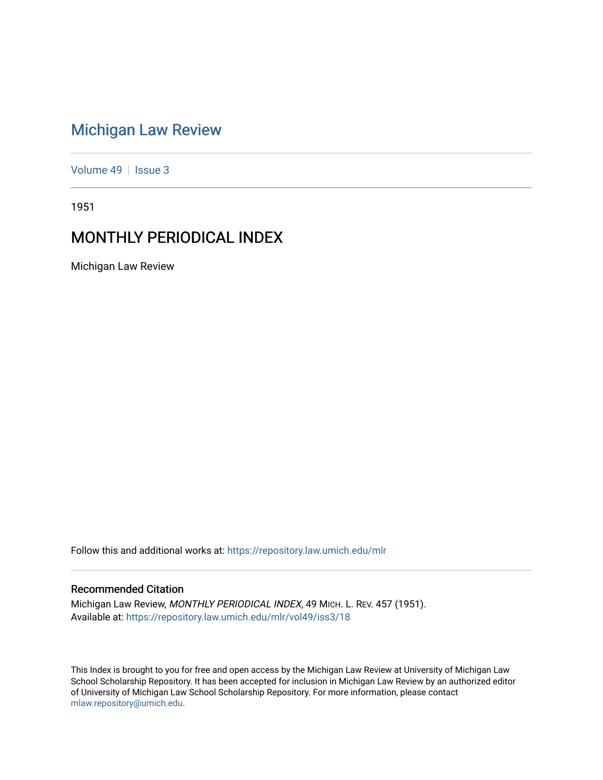# [Michigan Law Review](https://repository.law.umich.edu/mlr)

[Volume 49](https://repository.law.umich.edu/mlr/vol49) | [Issue 3](https://repository.law.umich.edu/mlr/vol49/iss3)

1951

# MONTHLY PERIODICAL INDEX

Michigan Law Review

Follow this and additional works at: [https://repository.law.umich.edu/mlr](https://repository.law.umich.edu/mlr?utm_source=repository.law.umich.edu%2Fmlr%2Fvol49%2Fiss3%2F18&utm_medium=PDF&utm_campaign=PDFCoverPages) 

# Recommended Citation

Michigan Law Review, MONTHLY PERIODICAL INDEX, 49 MICH. L. REV. 457 (1951). Available at: [https://repository.law.umich.edu/mlr/vol49/iss3/18](https://repository.law.umich.edu/mlr/vol49/iss3/18?utm_source=repository.law.umich.edu%2Fmlr%2Fvol49%2Fiss3%2F18&utm_medium=PDF&utm_campaign=PDFCoverPages) 

This Index is brought to you for free and open access by the Michigan Law Review at University of Michigan Law School Scholarship Repository. It has been accepted for inclusion in Michigan Law Review by an authorized editor of University of Michigan Law School Scholarship Repository. For more information, please contact [mlaw.repository@umich.edu.](mailto:mlaw.repository@umich.edu)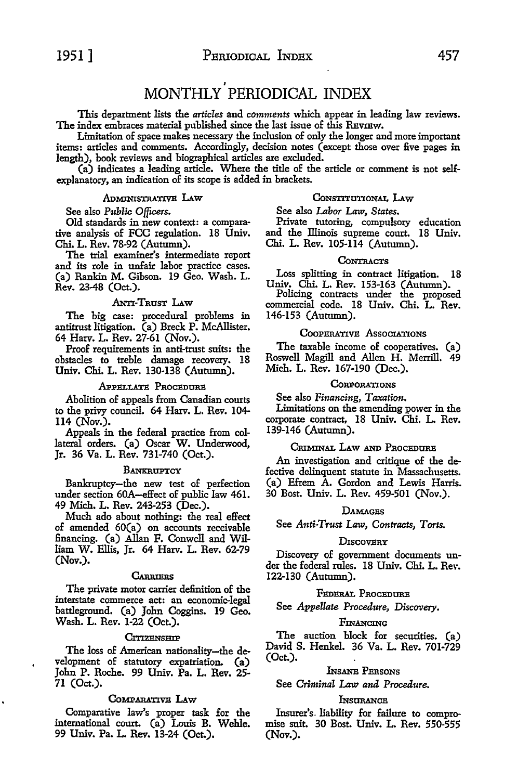# *I*  MONTHLY PERIODICAL INDEX

This department lists the *articles* and *comments* which appear in leading law reviews. The index embraces material published since the last issue of this REVIEW.

Limitation of space makes necessary the inclusion of only the longer and more important items: articles and comments. Accordingly, decision notes (except those over five pages in length), book reviews and biographical articles are excluded.

(a) indicates a leading article. Where the title of the article or comment is not selfexplanatory, an indication of its scope is added in brackets.

# ADMINISTRATIVE LAw

# See also *Public Officers.*

Old standards in new context: a comparative analysis of FCC regulation. 18 Univ. Chi. L. Rev. 78-92 (Autumn).

The trial examiner's intermediate report and its role in unfair labor practice cases. (a) Rankin M. Gibson. 19 Geo. Wash. L. Rev. 23-48 (Oct.).

## ANTI-TRUST LAW

The big case: procedural problems in antitrust litigation. (a) Breck P. McAllister. 64 Harv. L. Rev. 27-61 (Nov.).

Proof requirements in anti-trust suits: the obstacles to treble damage recovery. 18 Univ. Chi. L. Rev. 130-138 (Autumn).

#### APPELLATE PROCEDURE

Abolition of appeals from Canadian courts to the privy council. 64 Harv. L. Rev. 104- 114 (Nov.).

Appeals in the federal practice from collateral orders. (a) Oscar W. Underwood, Jr. 36 Va. L. Rev. 731-740 (Oct.).

#### **BANKRUPTCY**

Bankruptcy-the new test of perfection under section 60A-effect of public law 461. 49 Mich. L. Rev. 243-253 (Dec.).

Much ado about nothing: the real effect of amended 60(a) on accounts receivable financing. (a) Allan F. Conwell and William W. Ellis, Jr. 64 Harv. L. Rev. 62-79 (Nov.).

#### CARRIERS

The private motor carrier definition of the interstate commerce act: an economic-legal battleground. (a) John Coggins. 19 Geo. Wash. L. Rev. 1-22 (Oct.).

# CITIZENSHIP

The loss of American nationality-the development of statutory expatriation. (a) John P. Roche. 99 Univ. Pa. L. Rev. 25- 71 (Oct.).

### CoMPARATIVE LAw

Comparative law's proper task for the international court. (a) Louis B. Wehle. 99 Univ. Pa. L. Rev. 13-24 (Oct.).

# CONSTITUTIONAL LAW

See also *Labor* Law, *States.* 

Private tutoring, compulsory education and the Illinois supreme court. 18 Univ. Chi. L. Rev. 105-114 (Autumn).

#### **CONTRACTS**

Loss splitting in contract litigation. 18

Univ. Chi. L. Rev. 153-163 (Autumn). Policing contracts under the proposed commercial code. 18 Univ. Chi. L. Rev. 146-153 (Autumn).

# COOPERATIVE Associations

The taxable income of cooperatives. (a) Roswell Magill and Allen H. Merrill. 49 Mich. L. Rev. 167-190 (Dec.).

# **CORPORATIONS**

See also *Financing, Taxation.* 

Limitations on the amending power in the corporate contract, 18 Univ. Chi. L. Rev. 139-146 (Autumn).

### CRIMINAL LAw AND PROCEDURE

An investigation and critique of the defective delinquent statute in Massachusetts. (a) Efrem A. Gordon and Lewis Harris. 30 Bost. Univ. L. Rev. 459-501 (Nov.).

### DAMAGES

See *Anti-Trost* Law, *Contracts, Torts.* 

#### **DISCOVERY**

Discovery of government documents under the federal rules. 18 Univ. Chi. L. Rev. 122-130 (Autumn).

# FEDERAL PROCEDURE

See *Appellate Procedure*, Discovery.

## FINANCING

The auction block for securities. (a) David S. Henkel. 36 Va. L. Rev. 701-729 (Oct.).

# lNsANE PERsoNs

See *Criminal* Law *and Procedure.* 

# **INSURANCE**

Insurer's. liability for failure to compromise suit. 30 Bost. Univ. L. Rev. 550-555 (Nov.).